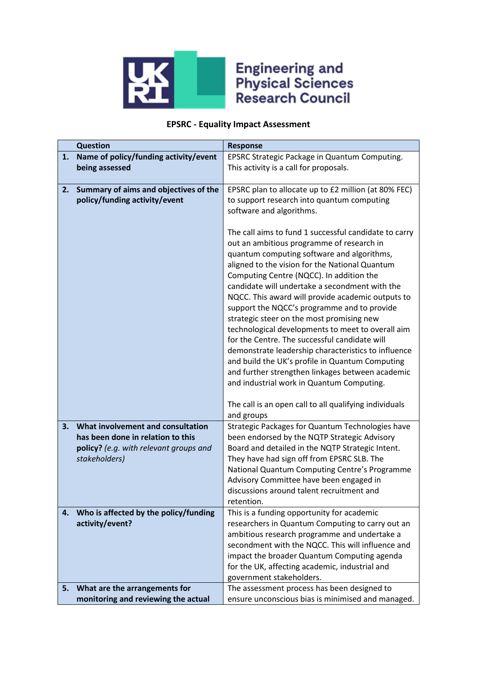

## **Engineering and<br>Physical Sciences<br>Research Council**

## **EPSRC - Equality Impact Assessment**

|    | <b>Question</b>                        | <b>Response</b>                                                                                    |
|----|----------------------------------------|----------------------------------------------------------------------------------------------------|
| 1. | Name of policy/funding activity/event  | EPSRC Strategic Package in Quantum Computing.                                                      |
|    | being assessed                         | This activity is a call for proposals.                                                             |
|    |                                        |                                                                                                    |
| 2. | Summary of aims and objectives of the  | EPSRC plan to allocate up to £2 million (at 80% FEC)                                               |
|    | policy/funding activity/event          | to support research into quantum computing                                                         |
|    |                                        | software and algorithms.                                                                           |
|    |                                        |                                                                                                    |
|    |                                        | The call aims to fund 1 successful candidate to carry                                              |
|    |                                        | out an ambitious programme of research in                                                          |
|    |                                        | quantum computing software and algorithms,                                                         |
|    |                                        | aligned to the vision for the National Quantum                                                     |
|    |                                        | Computing Centre (NQCC). In addition the                                                           |
|    |                                        | candidate will undertake a secondment with the                                                     |
|    |                                        | NQCC. This award will provide academic outputs to                                                  |
|    |                                        | support the NQCC's programme and to provide                                                        |
|    |                                        | strategic steer on the most promising new                                                          |
|    |                                        | technological developments to meet to overall aim<br>for the Centre. The successful candidate will |
|    |                                        | demonstrate leadership characteristics to influence                                                |
|    |                                        | and build the UK's profile in Quantum Computing                                                    |
|    |                                        | and further strengthen linkages between academic                                                   |
|    |                                        | and industrial work in Quantum Computing.                                                          |
|    |                                        |                                                                                                    |
|    |                                        | The call is an open call to all qualifying individuals                                             |
|    |                                        | and groups                                                                                         |
| 3. | What involvement and consultation      | Strategic Packages for Quantum Technologies have                                                   |
|    | has been done in relation to this      | been endorsed by the NQTP Strategic Advisory                                                       |
|    | policy? (e.g. with relevant groups and | Board and detailed in the NQTP Strategic Intent.                                                   |
|    | stakeholders)                          | They have had sign off from EPSRC SLB. The                                                         |
|    |                                        | National Quantum Computing Centre's Programme                                                      |
|    |                                        | Advisory Committee have been engaged in                                                            |
|    |                                        | discussions around talent recruitment and                                                          |
|    |                                        | retention.                                                                                         |
| 4. | Who is affected by the policy/funding  | This is a funding opportunity for academic                                                         |
|    | activity/event?                        | researchers in Quantum Computing to carry out an                                                   |
|    |                                        | ambitious research programme and undertake a                                                       |
|    |                                        | secondment with the NQCC. This will influence and                                                  |
|    |                                        | impact the broader Quantum Computing agenda                                                        |
|    |                                        | for the UK, affecting academic, industrial and                                                     |
|    |                                        | government stakeholders.                                                                           |
| 5. | What are the arrangements for          | The assessment process has been designed to                                                        |
|    | monitoring and reviewing the actual    | ensure unconscious bias is minimised and managed.                                                  |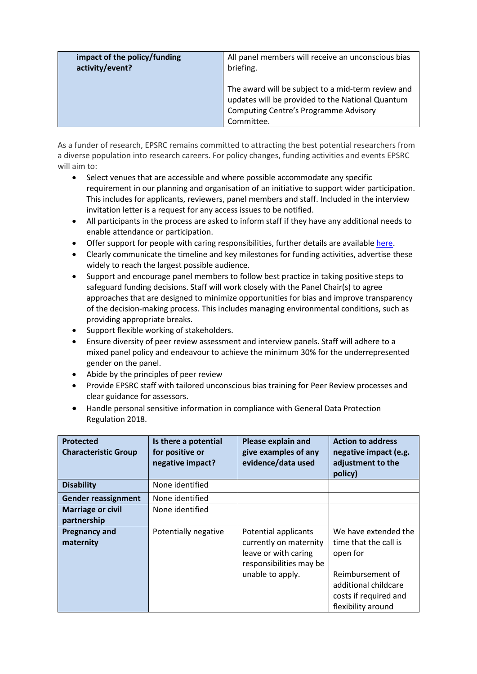| impact of the policy/funding | All panel members will receive an unconscious bias                                                                                                                   |  |
|------------------------------|----------------------------------------------------------------------------------------------------------------------------------------------------------------------|--|
| activity/event?              | briefing.                                                                                                                                                            |  |
|                              | The award will be subject to a mid-term review and<br>updates will be provided to the National Quantum<br><b>Computing Centre's Programme Advisory</b><br>Committee. |  |

As a funder of research, EPSRC remains committed to attracting the best potential researchers from a diverse population into research careers. For policy changes, funding activities and events EPSRC will aim to:

- Select venues that are accessible and where possible accommodate any specific requirement in our planning and organisation of an initiative to support wider participation. This includes for applicants, reviewers, panel members and staff. Included in the interview invitation letter is a request for any access issues to be notified.
- All participants in the process are asked to inform staff if they have any additional needs to enable attendance or participation.
- Offer support for people with caring responsibilities, further details are available [here.](https://epsrc.ukri.org/funding/applicationprocess/basics/caringresponsibilities/)
- Clearly communicate the timeline and key milestones for funding activities, advertise these widely to reach the largest possible audience.
- Support and encourage panel members to follow best practice in taking positive steps to safeguard funding decisions. Staff will work closely with the Panel Chair(s) to agree approaches that are designed to minimize opportunities for bias and improve transparency of the decision-making process. This includes managing environmental conditions, such as providing appropriate breaks.
- Support flexible working of stakeholders.
- Ensure diversity of peer review assessment and interview panels. Staff will adhere to a mixed panel policy and endeavour to achieve the minimum 30% for the underrepresented gender on the panel.
- Abide by the principles of peer review
- Provide EPSRC staff with tailored unconscious bias training for Peer Review processes and clear guidance for assessors.
- Handle personal sensitive information in compliance with General Data Protection Regulation 2018.

| <b>Protected</b><br><b>Characteristic Group</b> | Is there a potential<br>for positive or<br>negative impact? | Please explain and<br>give examples of any<br>evidence/data used                                                      | <b>Action to address</b><br>negative impact (e.g.<br>adjustment to the<br>policy)                                                                    |
|-------------------------------------------------|-------------------------------------------------------------|-----------------------------------------------------------------------------------------------------------------------|------------------------------------------------------------------------------------------------------------------------------------------------------|
| <b>Disability</b>                               | None identified                                             |                                                                                                                       |                                                                                                                                                      |
| <b>Gender reassignment</b>                      | None identified                                             |                                                                                                                       |                                                                                                                                                      |
| <b>Marriage or civil</b><br>partnership         | None identified                                             |                                                                                                                       |                                                                                                                                                      |
| <b>Pregnancy and</b><br>maternity               | Potentially negative                                        | Potential applicants<br>currently on maternity<br>leave or with caring<br>responsibilities may be<br>unable to apply. | We have extended the<br>time that the call is<br>open for<br>Reimbursement of<br>additional childcare<br>costs if required and<br>flexibility around |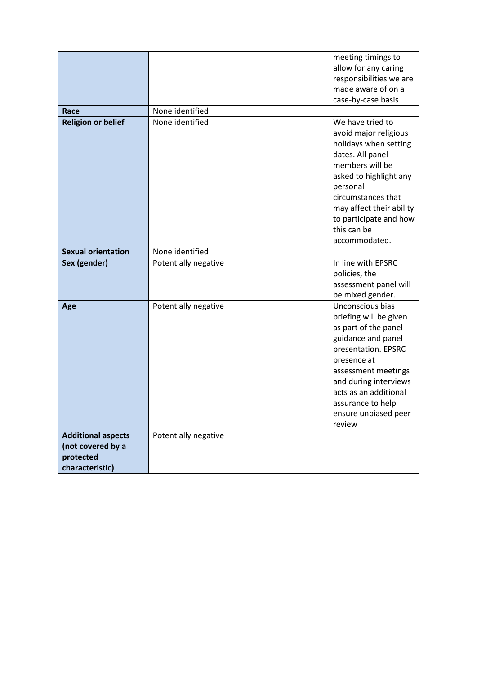|                                                                                |                      | meeting timings to<br>allow for any caring<br>responsibilities we are<br>made aware of on a<br>case-by-case basis                                                                                                                                              |
|--------------------------------------------------------------------------------|----------------------|----------------------------------------------------------------------------------------------------------------------------------------------------------------------------------------------------------------------------------------------------------------|
| Race                                                                           | None identified      |                                                                                                                                                                                                                                                                |
| <b>Religion or belief</b>                                                      | None identified      | We have tried to<br>avoid major religious<br>holidays when setting<br>dates. All panel<br>members will be<br>asked to highlight any<br>personal<br>circumstances that<br>may affect their ability<br>to participate and how<br>this can be<br>accommodated.    |
| <b>Sexual orientation</b>                                                      | None identified      |                                                                                                                                                                                                                                                                |
| Sex (gender)                                                                   | Potentially negative | In line with EPSRC<br>policies, the<br>assessment panel will<br>be mixed gender.                                                                                                                                                                               |
| Age                                                                            | Potentially negative | Unconscious bias<br>briefing will be given<br>as part of the panel<br>guidance and panel<br>presentation. EPSRC<br>presence at<br>assessment meetings<br>and during interviews<br>acts as an additional<br>assurance to help<br>ensure unbiased peer<br>review |
| <b>Additional aspects</b><br>(not covered by a<br>protected<br>characteristic) | Potentially negative |                                                                                                                                                                                                                                                                |